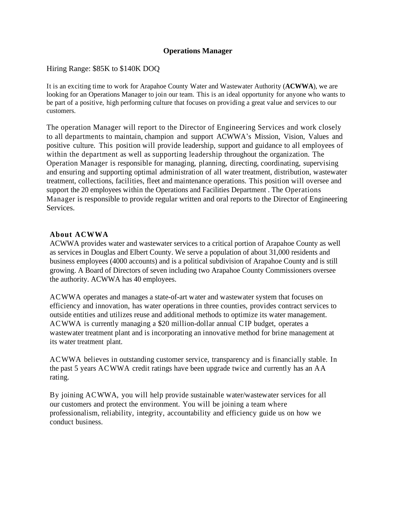### **Operations Manager**

### Hiring Range: \$85K to \$140K DOQ

It is an exciting time to work for Arapahoe County Water and Wastewater Authority (**ACWWA**), we are looking for an Operations Manager to join our team. This is an ideal opportunity for anyone who wants to be part of a positive, high performing culture that focuses on providing a great value and services to our customers.

The operation Manager will report to the Director of Engineering Services and work closely to all departments to maintain, champion and support ACWWA's Mission, Vision, Values and positive culture. This position will provide leadership, support and guidance to all employees of within the department as well as supporting leadership throughout the organization. The Operation Manager is responsible for managing, planning, directing, coordinating, supervising and ensuring and supporting optimal administration of all water treatment, distribution, wastewater treatment, collections, facilities, fleet and maintenance operations. This position will oversee and support the 20 employees within the Operations and Facilities Department . The Operations Manager is responsible to provide regular written and oral reports to the Director of Engineering Services.

#### **About ACWWA**

ACWWA provides water and wastewater services to a critical portion of Arapahoe County as well as services in Douglas and Elbert County. We serve a population of about 31,000 residents and business employees (4000 accounts) and is a political subdivision of Arapahoe County and is still growing. A Board of Directors of seven including two Arapahoe County Commissioners oversee the authority. ACWWA has 40 employees.

ACWWA operates and manages a state-of-art water and wastewater system that focuses on efficiency and innovation, has water operations in three counties, provides contract services to outside entities and utilizes reuse and additional methods to optimize its water management. ACWWA is currently managing a \$20 million-dollar annual CIP budget, operates a wastewater treatment plant and is incorporating an innovative method for brine management at its water treatment plant.

ACWWA believes in outstanding customer service, transparency and is financially stable. In the past 5 years ACWWA credit ratings have been upgrade twice and currently has an AA rating.

By joining ACWWA, you will help provide sustainable water/wastewater services for all our customers and protect the environment. You will be joining a team where professionalism, reliability, integrity, accountability and efficiency guide us on how we conduct business.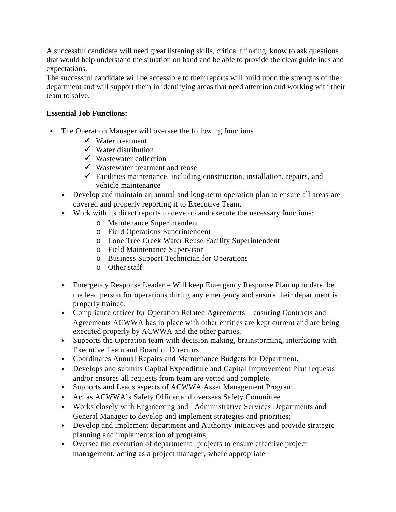A successful candidate will need great listening skills, critical thinking, know to ask questions that would help understand the situation on hand and be able to provide the clear guidelines and expectations.

The successful candidate will be accessible to their reports will build upon the strengths of the department and will support them in identifying areas that need attention and working with their team to solve.

## **Essential Job Functions:**

- The Operation Manager will oversee the following functions
	- $\checkmark$  Water treatment
	- $\checkmark$  Water distribution
	- $\checkmark$  Wastewater collection
	- $\checkmark$  Wastewater treatment and reuse
	- $\checkmark$  Facilities maintenance, including construction, installation, repairs, and vehicle maintenance
	- *•* Develop and maintain an annual and long-term operation plan to ensure all areas are covered and properly reporting it to Executive Team.
	- *•* Work with its direct reports to develop and execute the necessary functions:
		- o Maintenance Superintendent
		- o Field Operations Superintendent
		- o Lone Tree Creek Water Reuse Facility Superintendent
		- o Field Maintenance Supervisor
		- o Business Support Technician for Operations
		- o Other staff
	- *•* Emergency Response Leader Will keep Emergency Response Plan up to date, be the lead person for operations during any emergency and ensure their department is properly trained.
	- *•* Compliance officer for Operation Related Agreements ensuring Contracts and Agreements ACWWA has in place with other entities are kept current and are being executed properly by ACWWA and the other parties.
	- *•* Supports the Operation team with decision making, brainstorming, interfacing with Executive Team and Board of Directors.
	- *•* Coordinates Annual Repairs and Maintenance Budgets for Department.
	- *•* Develops and submits Capital Expenditure and Capital Improvement Plan requests and/or ensures all requests from team are vetted and complete.
	- *•* Supports and Leads aspects of ACWWA Asset Management Program.
	- *•* Act as ACWWA's Safety Officer and overseas Safety Committee
	- *•* Works closely with Engineering and Administrative Services Departments and General Manager to develop and implement strategies and priorities;
	- *•* Develop and implement department and Authority initiatives and provide strategic planning and implementation of programs;
	- *•* Oversee the execution of departmental projects to ensure effective project management, acting as a project manager, where appropriate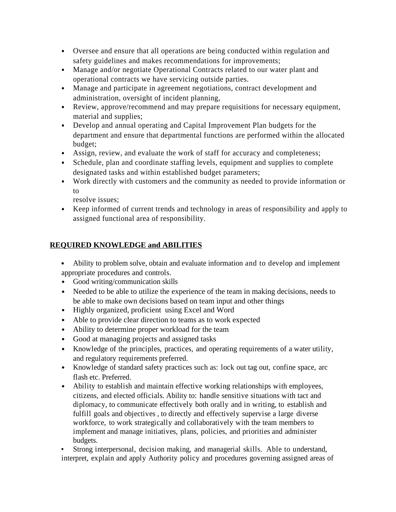- *•* Oversee and ensure that all operations are being conducted within regulation and safety guidelines and makes recommendations for improvements;
- *•* Manage and/or negotiate Operational Contracts related to our water plant and operational contracts we have servicing outside parties.
- *•* Manage and participate in agreement negotiations, contract development and administration, oversight of incident planning,
- *•* Review, approve/recommend and may prepare requisitions for necessary equipment, material and supplies;
- *•* Develop and annual operating and Capital Improvement Plan budgets for the department and ensure that departmental functions are performed within the allocated budget;
- *•* Assign, review, and evaluate the work of staff for accuracy and completeness;
- *•* Schedule, plan and coordinate staffing levels, equipment and supplies to complete designated tasks and within established budget parameters;
- *•* Work directly with customers and the community as needed to provide information or to

resolve issues;

*•* Keep informed of current trends and technology in areas of responsibility and apply to assigned functional area of responsibility.

# **REQUIRED KNOWLEDGE and ABILITIES**

- *•* Ability to problem solve, obtain and evaluate information and to develop and implement appropriate procedures and controls.
- *•* Good writing/communication skills
- Needed to be able to utilize the experience of the team in making decisions, needs to be able to make own decisions based on team input and other things
- *•* Highly organized, proficient using Excel and Word
- *•* Able to provide clear direction to teams as to work expected
- *•* Ability to determine proper workload for the team
- *•* Good at managing projects and assigned tasks
- *•* Knowledge of the principles, practices, and operating requirements of a water utility, and regulatory requirements preferred.
- *•* Knowledge of standard safety practices such as: lock out tag out, confine space, arc flash etc. Preferred.
- *•* Ability to establish and maintain effective working relationships with employees, citizens, and elected officials. Ability to: handle sensitive situations with tact and diplomacy, to communicate effectively both orally and in writing, to establish and fulfill goals and objectives , to directly and effectively supervise a large diverse workforce, to work strategically and collaboratively with the team members to implement and manage initiatives, plans, policies, and priorities and administer budgets.

• Strong interpersonal, decision making, and managerial skills. Able to understand, interpret, explain and apply Authority policy and procedures governing assigned areas of